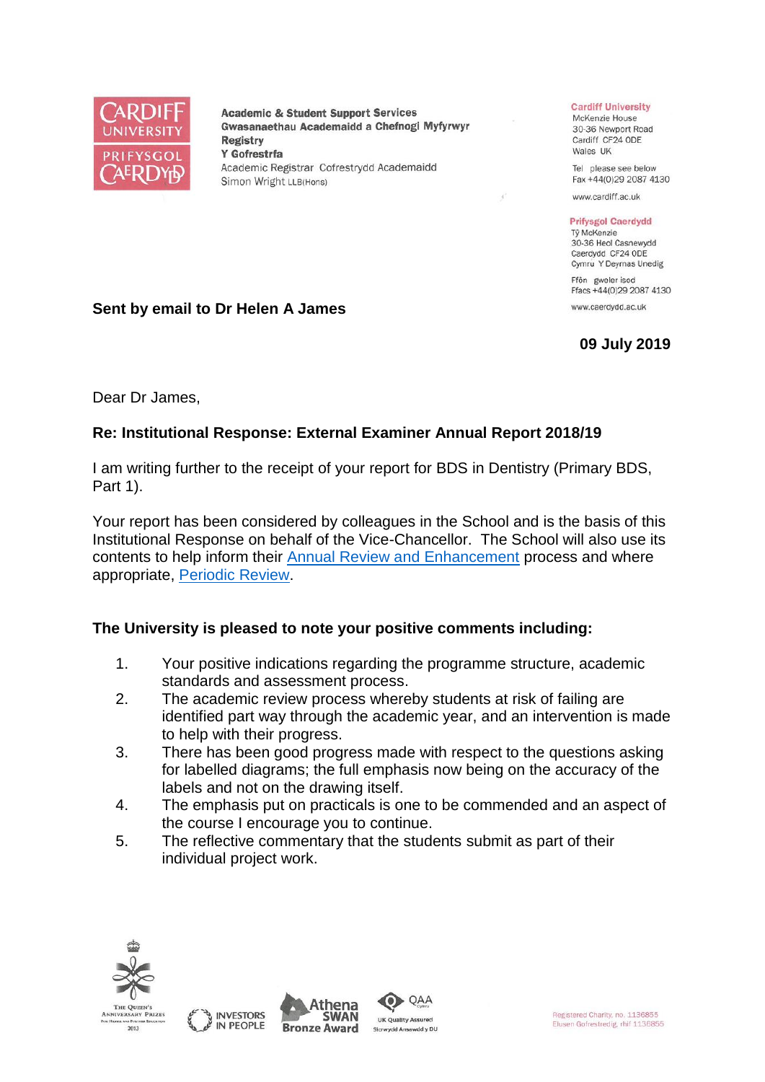

**Academic & Student Support Services** Gwasanaethau Academaidd a Chefnogi Myfyrwyr **Registry** Y Gofrestrfa Academic Registrar Cofrestrydd Academaidd Simon Wright LLB(Hons)

#### **Cardiff University**

McKenzie House 30-36 Newport Road Cardiff CF24 ODE Wales UK

Tel please see below Fax +44(0)29 2087 4130

www.cardiff.ac.uk

#### **Prifysgol Caerdydd**

Tỷ McKenzie 30-36 Heol Casnewydd Caerdydd CF24 ODE Cymru Y Deyrnas Unedig

Ffôn gweler isod Ffacs +44(0)29 2087 4130

www.caerdvdd.ac.uk

# **09 July 2019**

**Sent by email to Dr Helen A James**

Dear Dr James,

# **Re: Institutional Response: External Examiner Annual Report 2018/19**

I am writing further to the receipt of your report for BDS in Dentistry (Primary BDS, Part 1).

Your report has been considered by colleagues in the School and is the basis of this Institutional Response on behalf of the Vice-Chancellor. The School will also use its contents to help inform their [Annual Review and Enhancement](https://www.cardiff.ac.uk/public-information/quality-and-standards/monitoring-and-review/annual-review-and-enhancement) process and where appropriate, [Periodic Review.](http://www.cardiff.ac.uk/public-information/quality-and-standards/monitoring-and-review/periodic-review)

## **The University is pleased to note your positive comments including:**

- 1. Your positive indications regarding the programme structure, academic standards and assessment process.
- 2. The academic review process whereby students at risk of failing are identified part way through the academic year, and an intervention is made to help with their progress.
- 3. There has been good progress made with respect to the questions asking for labelled diagrams; the full emphasis now being on the accuracy of the labels and not on the drawing itself.
- 4. The emphasis put on practicals is one to be commended and an aspect of the course I encourage you to continue.
- 5. The reflective commentary that the students submit as part of their individual project work.